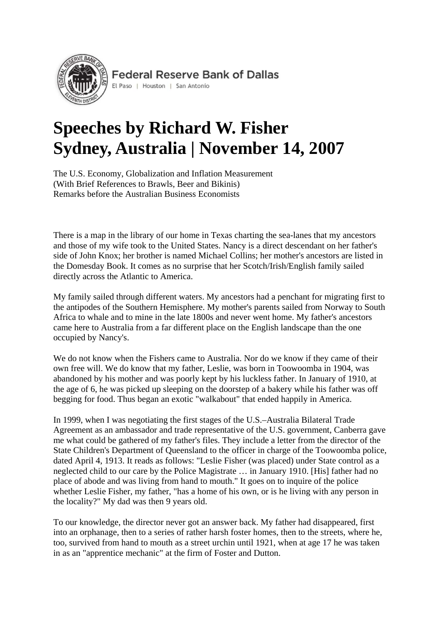

**Federal Reserve Bank of Dallas** 

#### El Paso | Houston | San Antonio

# **Speeches by Richard W. Fisher Sydney, Australia | November 14, 2007**

The U.S. Economy, Globalization and Inflation Measurement (With Brief References to Brawls, Beer and Bikinis) Remarks before the Australian Business Economists

There is a map in the library of our home in Texas charting the sea-lanes that my ancestors and those of my wife took to the United States. Nancy is a direct descendant on her father's side of John Knox; her brother is named Michael Collins; her mother's ancestors are listed in the Domesday Book. It comes as no surprise that her Scotch/Irish/English family sailed directly across the Atlantic to America.

My family sailed through different waters. My ancestors had a penchant for migrating first to the antipodes of the Southern Hemisphere. My mother's parents sailed from Norway to South Africa to whale and to mine in the late 1800s and never went home. My father's ancestors came here to Australia from a far different place on the English landscape than the one occupied by Nancy's.

We do not know when the Fishers came to Australia. Nor do we know if they came of their own free will. We do know that my father, Leslie, was born in Toowoomba in 1904, was abandoned by his mother and was poorly kept by his luckless father. In January of 1910, at the age of 6, he was picked up sleeping on the doorstep of a bakery while his father was off begging for food. Thus began an exotic "walkabout" that ended happily in America.

In 1999, when I was negotiating the first stages of the U.S.–Australia Bilateral Trade Agreement as an ambassador and trade representative of the U.S. government, Canberra gave me what could be gathered of my father's files. They include a letter from the director of the State Children's Department of Queensland to the officer in charge of the Toowoomba police, dated April 4, 1913. It reads as follows: "Leslie Fisher (was placed) under State control as a neglected child to our care by the Police Magistrate … in January 1910. [His] father had no place of abode and was living from hand to mouth." It goes on to inquire of the police whether Leslie Fisher, my father, "has a home of his own, or is he living with any person in the locality?" My dad was then 9 years old.

To our knowledge, the director never got an answer back. My father had disappeared, first into an orphanage, then to a series of rather harsh foster homes, then to the streets, where he, too, survived from hand to mouth as a street urchin until 1921, when at age 17 he was taken in as an "apprentice mechanic" at the firm of Foster and Dutton.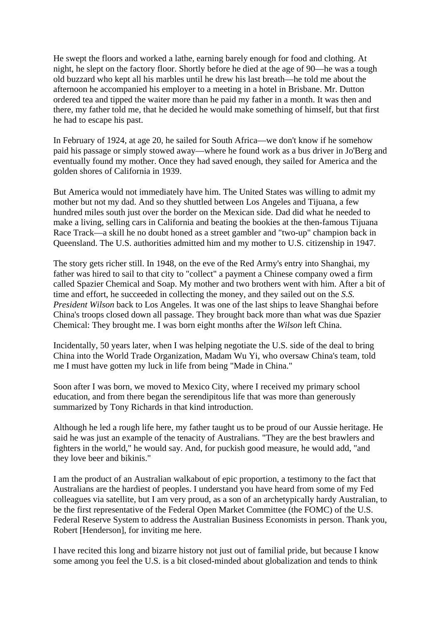He swept the floors and worked a lathe, earning barely enough for food and clothing. At night, he slept on the factory floor. Shortly before he died at the age of 90—he was a tough old buzzard who kept all his marbles until he drew his last breath—he told me about the afternoon he accompanied his employer to a meeting in a hotel in Brisbane. Mr. Dutton ordered tea and tipped the waiter more than he paid my father in a month. It was then and there, my father told me, that he decided he would make something of himself, but that first he had to escape his past.

In February of 1924, at age 20, he sailed for South Africa—we don't know if he somehow paid his passage or simply stowed away—where he found work as a bus driver in Jo'Berg and eventually found my mother. Once they had saved enough, they sailed for America and the golden shores of California in 1939.

But America would not immediately have him. The United States was willing to admit my mother but not my dad. And so they shuttled between Los Angeles and Tijuana, a few hundred miles south just over the border on the Mexican side. Dad did what he needed to make a living, selling cars in California and beating the bookies at the then-famous Tijuana Race Track—a skill he no doubt honed as a street gambler and "two-up" champion back in Queensland. The U.S. authorities admitted him and my mother to U.S. citizenship in 1947.

The story gets richer still. In 1948, on the eve of the Red Army's entry into Shanghai, my father was hired to sail to that city to "collect" a payment a Chinese company owed a firm called Spazier Chemical and Soap. My mother and two brothers went with him. After a bit of time and effort, he succeeded in collecting the money, and they sailed out on the *S.S. President Wilson* back to Los Angeles. It was one of the last ships to leave Shanghai before China's troops closed down all passage. They brought back more than what was due Spazier Chemical: They brought me. I was born eight months after the *Wilson* left China.

Incidentally, 50 years later, when I was helping negotiate the U.S. side of the deal to bring China into the World Trade Organization, Madam Wu Yi, who oversaw China's team, told me I must have gotten my luck in life from being "Made in China."

Soon after I was born, we moved to Mexico City, where I received my primary school education, and from there began the serendipitous life that was more than generously summarized by Tony Richards in that kind introduction.

Although he led a rough life here, my father taught us to be proud of our Aussie heritage. He said he was just an example of the tenacity of Australians. "They are the best brawlers and fighters in the world," he would say. And, for puckish good measure, he would add, "and they love beer and bikinis."

I am the product of an Australian walkabout of epic proportion, a testimony to the fact that Australians are the hardiest of peoples. I understand you have heard from some of my Fed colleagues via satellite, but I am very proud, as a son of an archetypically hardy Australian, to be the first representative of the Federal Open Market Committee (the FOMC) of the U.S. Federal Reserve System to address the Australian Business Economists in person. Thank you, Robert [Henderson], for inviting me here.

I have recited this long and bizarre history not just out of familial pride, but because I know some among you feel the U.S. is a bit closed-minded about globalization and tends to think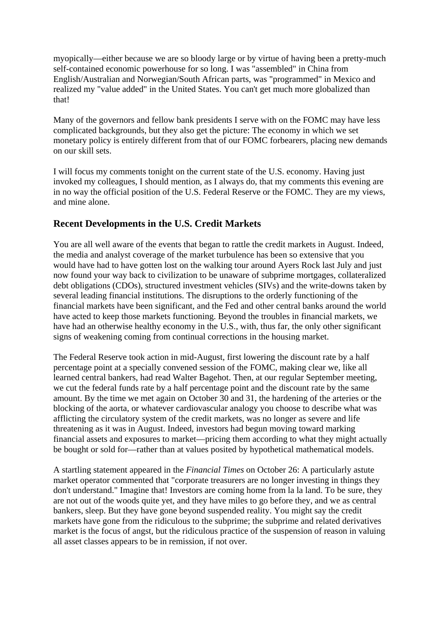myopically—either because we are so bloody large or by virtue of having been a pretty-much self-contained economic powerhouse for so long. I was "assembled" in China from English/Australian and Norwegian/South African parts, was "programmed" in Mexico and realized my "value added" in the United States. You can't get much more globalized than that!

Many of the governors and fellow bank presidents I serve with on the FOMC may have less complicated backgrounds, but they also get the picture: The economy in which we set monetary policy is entirely different from that of our FOMC forbearers, placing new demands on our skill sets.

I will focus my comments tonight on the current state of the U.S. economy. Having just invoked my colleagues, I should mention, as I always do, that my comments this evening are in no way the official position of the U.S. Federal Reserve or the FOMC. They are my views, and mine alone.

# **Recent Developments in the U.S. Credit Markets**

You are all well aware of the events that began to rattle the credit markets in August. Indeed, the media and analyst coverage of the market turbulence has been so extensive that you would have had to have gotten lost on the walking tour around Ayers Rock last July and just now found your way back to civilization to be unaware of subprime mortgages, collateralized debt obligations (CDOs), structured investment vehicles (SIVs) and the write-downs taken by several leading financial institutions. The disruptions to the orderly functioning of the financial markets have been significant, and the Fed and other central banks around the world have acted to keep those markets functioning. Beyond the troubles in financial markets, we have had an otherwise healthy economy in the U.S., with, thus far, the only other significant signs of weakening coming from continual corrections in the housing market.

The Federal Reserve took action in mid-August, first lowering the discount rate by a half percentage point at a specially convened session of the FOMC, making clear we, like all learned central bankers, had read Walter Bagehot. Then, at our regular September meeting, we cut the federal funds rate by a half percentage point and the discount rate by the same amount. By the time we met again on October 30 and 31, the hardening of the arteries or the blocking of the aorta, or whatever cardiovascular analogy you choose to describe what was afflicting the circulatory system of the credit markets, was no longer as severe and life threatening as it was in August. Indeed, investors had begun moving toward marking financial assets and exposures to market—pricing them according to what they might actually be bought or sold for—rather than at values posited by hypothetical mathematical models.

A startling statement appeared in the *Financial Times* on October 26: A particularly astute market operator commented that "corporate treasurers are no longer investing in things they don't understand." Imagine that! Investors are coming home from la la land. To be sure, they are not out of the woods quite yet, and they have miles to go before they, and we as central bankers, sleep. But they have gone beyond suspended reality. You might say the credit markets have gone from the ridiculous to the subprime; the subprime and related derivatives market is the focus of angst, but the ridiculous practice of the suspension of reason in valuing all asset classes appears to be in remission, if not over.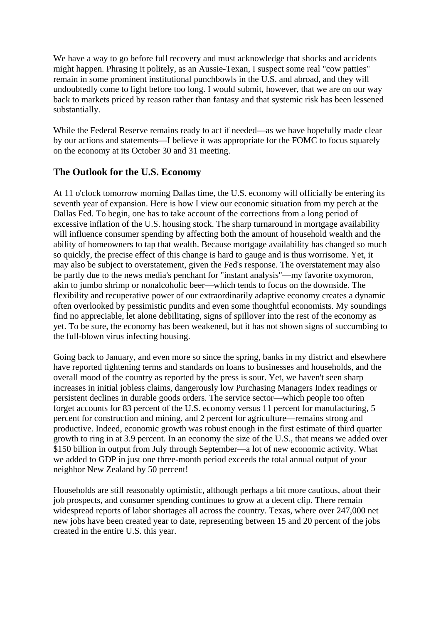We have a way to go before full recovery and must acknowledge that shocks and accidents might happen. Phrasing it politely, as an Aussie-Texan, I suspect some real "cow patties" remain in some prominent institutional punchbowls in the U.S. and abroad, and they will undoubtedly come to light before too long. I would submit, however, that we are on our way back to markets priced by reason rather than fantasy and that systemic risk has been lessened substantially.

While the Federal Reserve remains ready to act if needed—as we have hopefully made clear by our actions and statements—I believe it was appropriate for the FOMC to focus squarely on the economy at its October 30 and 31 meeting.

## **The Outlook for the U.S. Economy**

At 11 o'clock tomorrow morning Dallas time, the U.S. economy will officially be entering its seventh year of expansion. Here is how I view our economic situation from my perch at the Dallas Fed. To begin, one has to take account of the corrections from a long period of excessive inflation of the U.S. housing stock. The sharp turnaround in mortgage availability will influence consumer spending by affecting both the amount of household wealth and the ability of homeowners to tap that wealth. Because mortgage availability has changed so much so quickly, the precise effect of this change is hard to gauge and is thus worrisome. Yet, it may also be subject to overstatement, given the Fed's response. The overstatement may also be partly due to the news media's penchant for "instant analysis"—my favorite oxymoron, akin to jumbo shrimp or nonalcoholic beer—which tends to focus on the downside. The flexibility and recuperative power of our extraordinarily adaptive economy creates a dynamic often overlooked by pessimistic pundits and even some thoughtful economists. My soundings find no appreciable, let alone debilitating, signs of spillover into the rest of the economy as yet. To be sure, the economy has been weakened, but it has not shown signs of succumbing to the full-blown virus infecting housing.

Going back to January, and even more so since the spring, banks in my district and elsewhere have reported tightening terms and standards on loans to businesses and households, and the overall mood of the country as reported by the press is sour. Yet, we haven't seen sharp increases in initial jobless claims, dangerously low Purchasing Managers Index readings or persistent declines in durable goods orders. The service sector—which people too often forget accounts for 83 percent of the U.S. economy versus 11 percent for manufacturing, 5 percent for construction and mining, and 2 percent for agriculture—remains strong and productive. Indeed, economic growth was robust enough in the first estimate of third quarter growth to ring in at 3.9 percent. In an economy the size of the U.S., that means we added over \$150 billion in output from July through September—a lot of new economic activity. What we added to GDP in just one three-month period exceeds the total annual output of your neighbor New Zealand by 50 percent!

Households are still reasonably optimistic, although perhaps a bit more cautious, about their job prospects, and consumer spending continues to grow at a decent clip. There remain widespread reports of labor shortages all across the country. Texas, where over 247,000 net new jobs have been created year to date, representing between 15 and 20 percent of the jobs created in the entire U.S. this year.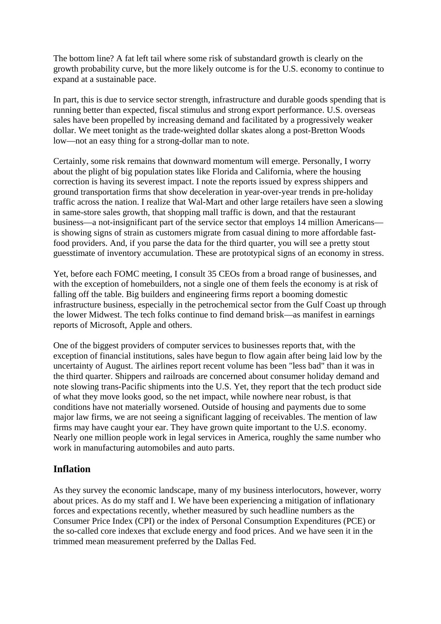The bottom line? A fat left tail where some risk of substandard growth is clearly on the growth probability curve, but the more likely outcome is for the U.S. economy to continue to expand at a sustainable pace.

In part, this is due to service sector strength, infrastructure and durable goods spending that is running better than expected, fiscal stimulus and strong export performance. U.S. overseas sales have been propelled by increasing demand and facilitated by a progressively weaker dollar. We meet tonight as the trade-weighted dollar skates along a post-Bretton Woods low—not an easy thing for a strong-dollar man to note.

Certainly, some risk remains that downward momentum will emerge. Personally, I worry about the plight of big population states like Florida and California, where the housing correction is having its severest impact. I note the reports issued by express shippers and ground transportation firms that show deceleration in year-over-year trends in pre-holiday traffic across the nation. I realize that Wal-Mart and other large retailers have seen a slowing in same-store sales growth, that shopping mall traffic is down, and that the restaurant business—a not-insignificant part of the service sector that employs 14 million Americans is showing signs of strain as customers migrate from casual dining to more affordable fastfood providers. And, if you parse the data for the third quarter, you will see a pretty stout guesstimate of inventory accumulation. These are prototypical signs of an economy in stress.

Yet, before each FOMC meeting, I consult 35 CEOs from a broad range of businesses, and with the exception of homebuilders, not a single one of them feels the economy is at risk of falling off the table. Big builders and engineering firms report a booming domestic infrastructure business, especially in the petrochemical sector from the Gulf Coast up through the lower Midwest. The tech folks continue to find demand brisk—as manifest in earnings reports of Microsoft, Apple and others.

One of the biggest providers of computer services to businesses reports that, with the exception of financial institutions, sales have begun to flow again after being laid low by the uncertainty of August. The airlines report recent volume has been "less bad" than it was in the third quarter. Shippers and railroads are concerned about consumer holiday demand and note slowing trans-Pacific shipments into the U.S. Yet, they report that the tech product side of what they move looks good, so the net impact, while nowhere near robust, is that conditions have not materially worsened. Outside of housing and payments due to some major law firms, we are not seeing a significant lagging of receivables. The mention of law firms may have caught your ear. They have grown quite important to the U.S. economy. Nearly one million people work in legal services in America, roughly the same number who work in manufacturing automobiles and auto parts.

### **Inflation**

As they survey the economic landscape, many of my business interlocutors, however, worry about prices. As do my staff and I. We have been experiencing a mitigation of inflationary forces and expectations recently, whether measured by such headline numbers as the Consumer Price Index (CPI) or the index of Personal Consumption Expenditures (PCE) or the so-called core indexes that exclude energy and food prices. And we have seen it in the trimmed mean measurement preferred by the Dallas Fed.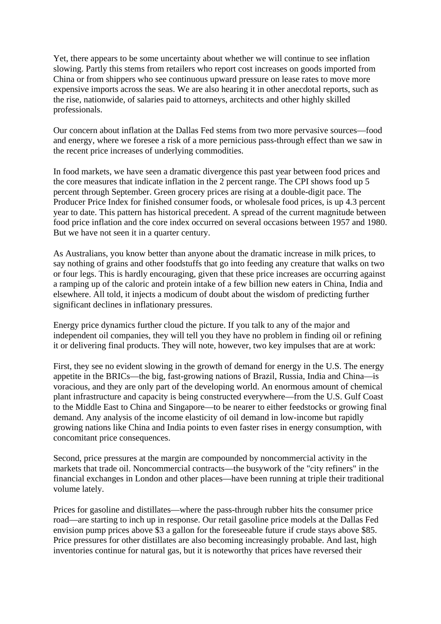Yet, there appears to be some uncertainty about whether we will continue to see inflation slowing. Partly this stems from retailers who report cost increases on goods imported from China or from shippers who see continuous upward pressure on lease rates to move more expensive imports across the seas. We are also hearing it in other anecdotal reports, such as the rise, nationwide, of salaries paid to attorneys, architects and other highly skilled professionals.

Our concern about inflation at the Dallas Fed stems from two more pervasive sources—food and energy, where we foresee a risk of a more pernicious pass-through effect than we saw in the recent price increases of underlying commodities.

In food markets, we have seen a dramatic divergence this past year between food prices and the core measures that indicate inflation in the 2 percent range. The CPI shows food up 5 percent through September. Green grocery prices are rising at a double-digit pace. The Producer Price Index for finished consumer foods, or wholesale food prices, is up 4.3 percent year to date. This pattern has historical precedent. A spread of the current magnitude between food price inflation and the core index occurred on several occasions between 1957 and 1980. But we have not seen it in a quarter century.

As Australians, you know better than anyone about the dramatic increase in milk prices, to say nothing of grains and other foodstuffs that go into feeding any creature that walks on two or four legs. This is hardly encouraging, given that these price increases are occurring against a ramping up of the caloric and protein intake of a few billion new eaters in China, India and elsewhere. All told, it injects a modicum of doubt about the wisdom of predicting further significant declines in inflationary pressures.

Energy price dynamics further cloud the picture. If you talk to any of the major and independent oil companies, they will tell you they have no problem in finding oil or refining it or delivering final products. They will note, however, two key impulses that are at work:

First, they see no evident slowing in the growth of demand for energy in the U.S. The energy appetite in the BRICs—the big, fast-growing nations of Brazil, Russia, India and China—is voracious, and they are only part of the developing world. An enormous amount of chemical plant infrastructure and capacity is being constructed everywhere—from the U.S. Gulf Coast to the Middle East to China and Singapore—to be nearer to either feedstocks or growing final demand. Any analysis of the income elasticity of oil demand in low-income but rapidly growing nations like China and India points to even faster rises in energy consumption, with concomitant price consequences.

Second, price pressures at the margin are compounded by noncommercial activity in the markets that trade oil. Noncommercial contracts—the busywork of the "city refiners" in the financial exchanges in London and other places—have been running at triple their traditional volume lately.

Prices for gasoline and distillates—where the pass-through rubber hits the consumer price road—are starting to inch up in response. Our retail gasoline price models at the Dallas Fed envision pump prices above \$3 a gallon for the foreseeable future if crude stays above \$85. Price pressures for other distillates are also becoming increasingly probable. And last, high inventories continue for natural gas, but it is noteworthy that prices have reversed their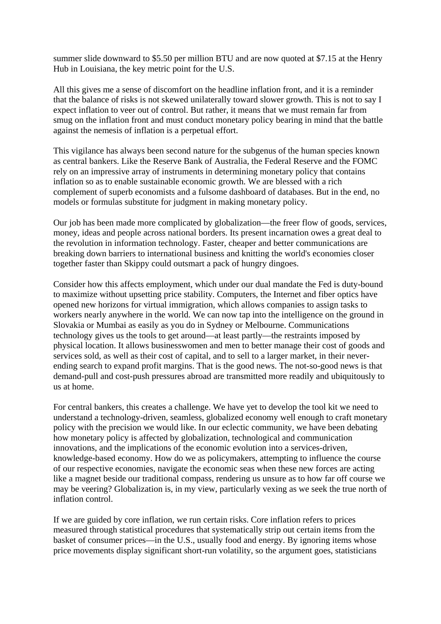summer slide downward to \$5.50 per million BTU and are now quoted at \$7.15 at the Henry Hub in Louisiana, the key metric point for the U.S.

All this gives me a sense of discomfort on the headline inflation front, and it is a reminder that the balance of risks is not skewed unilaterally toward slower growth. This is not to say I expect inflation to veer out of control. But rather, it means that we must remain far from smug on the inflation front and must conduct monetary policy bearing in mind that the battle against the nemesis of inflation is a perpetual effort.

This vigilance has always been second nature for the subgenus of the human species known as central bankers. Like the Reserve Bank of Australia, the Federal Reserve and the FOMC rely on an impressive array of instruments in determining monetary policy that contains inflation so as to enable sustainable economic growth. We are blessed with a rich complement of superb economists and a fulsome dashboard of databases. But in the end, no models or formulas substitute for judgment in making monetary policy.

Our job has been made more complicated by globalization—the freer flow of goods, services, money, ideas and people across national borders. Its present incarnation owes a great deal to the revolution in information technology. Faster, cheaper and better communications are breaking down barriers to international business and knitting the world's economies closer together faster than Skippy could outsmart a pack of hungry dingoes.

Consider how this affects employment, which under our dual mandate the Fed is duty-bound to maximize without upsetting price stability. Computers, the Internet and fiber optics have opened new horizons for virtual immigration, which allows companies to assign tasks to workers nearly anywhere in the world. We can now tap into the intelligence on the ground in Slovakia or Mumbai as easily as you do in Sydney or Melbourne. Communications technology gives us the tools to get around—at least partly—the restraints imposed by physical location. It allows businesswomen and men to better manage their cost of goods and services sold, as well as their cost of capital, and to sell to a larger market, in their neverending search to expand profit margins. That is the good news. The not-so-good news is that demand-pull and cost-push pressures abroad are transmitted more readily and ubiquitously to us at home.

For central bankers, this creates a challenge. We have yet to develop the tool kit we need to understand a technology-driven, seamless, globalized economy well enough to craft monetary policy with the precision we would like. In our eclectic community, we have been debating how monetary policy is affected by globalization, technological and communication innovations, and the implications of the economic evolution into a services-driven, knowledge-based economy. How do we as policymakers, attempting to influence the course of our respective economies, navigate the economic seas when these new forces are acting like a magnet beside our traditional compass, rendering us unsure as to how far off course we may be veering? Globalization is, in my view, particularly vexing as we seek the true north of inflation control.

If we are guided by core inflation, we run certain risks. Core inflation refers to prices measured through statistical procedures that systematically strip out certain items from the basket of consumer prices—in the U.S., usually food and energy. By ignoring items whose price movements display significant short-run volatility, so the argument goes, statisticians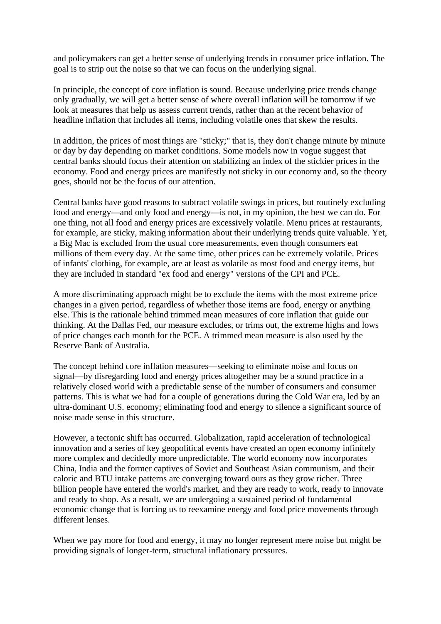and policymakers can get a better sense of underlying trends in consumer price inflation. The goal is to strip out the noise so that we can focus on the underlying signal.

In principle, the concept of core inflation is sound. Because underlying price trends change only gradually, we will get a better sense of where overall inflation will be tomorrow if we look at measures that help us assess current trends, rather than at the recent behavior of headline inflation that includes all items, including volatile ones that skew the results.

In addition, the prices of most things are "sticky;" that is, they don't change minute by minute or day by day depending on market conditions. Some models now in vogue suggest that central banks should focus their attention on stabilizing an index of the stickier prices in the economy. Food and energy prices are manifestly not sticky in our economy and, so the theory goes, should not be the focus of our attention.

Central banks have good reasons to subtract volatile swings in prices, but routinely excluding food and energy—and only food and energy—is not, in my opinion, the best we can do. For one thing, not all food and energy prices are excessively volatile. Menu prices at restaurants, for example, are sticky, making information about their underlying trends quite valuable. Yet, a Big Mac is excluded from the usual core measurements, even though consumers eat millions of them every day. At the same time, other prices can be extremely volatile. Prices of infants' clothing, for example, are at least as volatile as most food and energy items, but they are included in standard "ex food and energy" versions of the CPI and PCE.

A more discriminating approach might be to exclude the items with the most extreme price changes in a given period, regardless of whether those items are food, energy or anything else. This is the rationale behind trimmed mean measures of core inflation that guide our thinking. At the Dallas Fed, our measure excludes, or trims out, the extreme highs and lows of price changes each month for the PCE. A trimmed mean measure is also used by the Reserve Bank of Australia.

The concept behind core inflation measures—seeking to eliminate noise and focus on signal—by disregarding food and energy prices altogether may be a sound practice in a relatively closed world with a predictable sense of the number of consumers and consumer patterns. This is what we had for a couple of generations during the Cold War era, led by an ultra-dominant U.S. economy; eliminating food and energy to silence a significant source of noise made sense in this structure.

However, a tectonic shift has occurred. Globalization, rapid acceleration of technological innovation and a series of key geopolitical events have created an open economy infinitely more complex and decidedly more unpredictable. The world economy now incorporates China, India and the former captives of Soviet and Southeast Asian communism, and their caloric and BTU intake patterns are converging toward ours as they grow richer. Three billion people have entered the world's market, and they are ready to work, ready to innovate and ready to shop. As a result, we are undergoing a sustained period of fundamental economic change that is forcing us to reexamine energy and food price movements through different lenses.

When we pay more for food and energy, it may no longer represent mere noise but might be providing signals of longer-term, structural inflationary pressures.